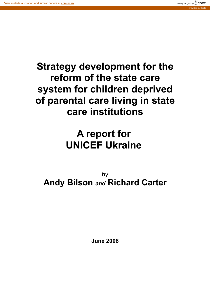

# **Strategy development for the reform of the state care system for children deprived of parental care living in state care institutions**

# **A report for UNICEF Ukraine**

*by* **Andy Bilson** *and* **Richard Carter**

**June 2008**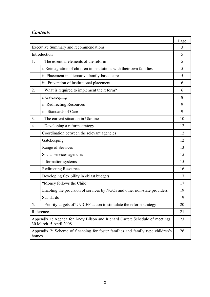# *Contents*

|                                                                                                       |                                                                          | Page |
|-------------------------------------------------------------------------------------------------------|--------------------------------------------------------------------------|------|
| <b>Executive Summary and recommendations</b>                                                          |                                                                          | 3    |
| Introduction                                                                                          |                                                                          | 5    |
| 1.                                                                                                    | The essential elements of the reform                                     | 5    |
|                                                                                                       | i. Reintegration of children in institutions with their own families     | 5    |
|                                                                                                       | ii. Placement in alternative family-based care                           | 5    |
|                                                                                                       | iii. Prevention of institutional placement                               | 6    |
| 2.                                                                                                    | What is required to implement the reform?                                | 6    |
|                                                                                                       | i. Gatekeeping                                                           | 8    |
|                                                                                                       | ii. Redirecting Resources                                                | 9    |
|                                                                                                       | iii. Standards of Care                                                   | 9    |
| 3 <sub>1</sub>                                                                                        | The current situation in Ukraine                                         | 10   |
| $\overline{4}$ .                                                                                      | Developing a reform strategy                                             | 12   |
|                                                                                                       | Coordination between the relevant agencies                               | 12   |
|                                                                                                       | Gatekeeping                                                              | 12   |
|                                                                                                       | Range of Services                                                        | 13   |
|                                                                                                       | Social services agencies                                                 | 15   |
|                                                                                                       | Information systems                                                      | 15   |
|                                                                                                       | <b>Redirecting Resources</b>                                             | 16   |
|                                                                                                       | Developing flexibility in oblast budgets                                 | 17   |
|                                                                                                       | "Money follows the Child"                                                | 17   |
|                                                                                                       | Enabling the provision of services by NGOs and other non-state providers | 19   |
|                                                                                                       | Standards                                                                | 19   |
| 5.                                                                                                    | Priority targets of UNICEF action to stimulate the reform strategy       | 20   |
| References                                                                                            |                                                                          | 21   |
| Appendix 1: Agenda for Andy Bilson and Richard Carter: Schedule of meetings,<br>30 March-5 April 2008 |                                                                          | 23   |
| Appendix 2: Scheme of financing for foster families and family type children's<br>homes               |                                                                          | 26   |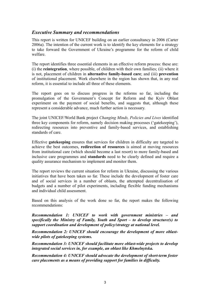### *Executive Summary and recommendations*

This report is written for UNICEF building on an earlier consultancy in 2006 (Carter 2006a). The intention of the current work is to identify the key elements for a strategy to take forward the Government of Ukraine's programme for the reform of child welfare.

The report identifies three essential elements in an effective reform process: these are: (i) the **reintegration**, where possible, of children with their own families; (ii) where it is not, placement of children in **alternative family-based care**; and (iii) **prevention** of institutional placement. Work elsewhere in the region has shown that, in any real reform, it is essential to include all three of these elements.

The report goes on to discuss progress in the reforms so far, including the promulgation of the Government's Concept for Reform and the Kyiv Oblast experiment on the payment of social benefits, and suggests that, although these represent a considerable advance, much further action is necessary.

The joint UNICEF/World Bank project *Changing Minds, Policies and Lives* identified three key components for reform, namely decision making processes ('gatekeeping'), redirecting resources into preventive and family-based services, and establishing standards of care.

Effective **gatekeeping** ensures that services for children in difficulty are targeted to achieve the best outcomes, **redirection of resources** is aimed at moving resources from institutional care (which should become a last resort) to more family-based and inclusive care programmes and **standards** need to be clearly defined and require a quality assurance mechanism to implement and monitor them.

The report reviews the current situation for reform in Ukraine, discussing the various initiatives that have been taken so far. These include the development of foster care and of social services in a number of oblasts, the attempted decentralisation of budgets and a number of pilot experiments, including flexible funding mechanisms and individual child assessment.

Based on this analysis of the work done so far, the report makes the following recommendations:

*Recommendation 1: UNICEF to work with government ministries – and specifically the Ministry of Family, Youth and Sport – to develop structure(s) to support coordination and development of policy/strategy at national level.*

*Recommendation 2: UNICEF should encourage the development of more oblastwide pilots of gatekeeping systems.*

*Recommendation 3: UNICEF should facilitate more oblast-wide projects to develop integrated social services in, for example, an oblast like Khmelnytska.*

*Recommendation 4: UNICEF should advocate the development of short-term foster care placements as a means of providing support for families in difficulty.*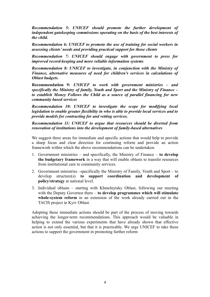*Recommendation 5: UNICEF should promote the further development of independent gatekeeping commissions operating on the basis of the best interests of the child.*

*Recommendation 6: UNICEF to promote the use of training for social workers in assessing clients' needs and providing practical support for those clients*

*Recommendation 7: UNICEF should engage with government to press for improved record-keeping and more reliable information systems*

*Recommendation 8: UNICEF to investigate, in conjunction with the Ministry of Finance, alternative measures of need for children's services in calculations of Oblast budgets.*

**Recommendation 9:** *UNICEF to work with government ministries – and specifically the Ministry of family, Youth and Sport and the Ministry of Finance – to establish Money Follows the Child as a source of parallel financing for new community based services*

*Recommendation 10: UNICEF to investigate the scope for modifying local legislation to enable greater flexibility in who is able to provide local services and to provide models for contracting for and vetting services.*

*Recommendation 11: UNICEF to argue that resources should be diverted from renovation of institutions into the development of family-based alternatives*

We suggest three areas for immediate and specific actions that would help to provide a sharp focus and clear direction for continuing reform and provide an action framework within which the above recommendations can be undertaken.

- 1. Government ministries and specifically, the Ministry of Finance **to develop the budgetary framework** in a way that will enable oblasts to transfer resources from institutional care to community services.
- 2. Government ministries –specifically the Ministry of Family, Youth and Sport to develop structure(s) **to support coordination and development of policy/strategy** at national level.
- 3. Individual oblasts starting with Khmelnytsky Oblast, following our meeting with the Deputy Governor there – **to develop programmes which will stimulate whole-system reform** in an extension of the work already carried out in the TACIS project in Kyiv Oblast.

Adopting these immediate actions should be part of the process of moving towards achieving the longer-term recommendations. This approach would be valuable in helping to extend the various experiments that have already shown that effective action is not only essential, but that it is practicable. We urge UNICEF to take these actions to support the government in promoting further reform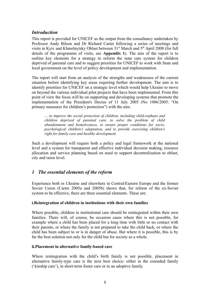# *Introduction*

This report is provided for UNICEF as the output from the consultancy undertaken by Professor Andy Bilson and Dr Richard Carter following a series of meetings and visits in Kyiv and Khmelnytsky Oblast between 31<sup>st</sup> March and 5<sup>th</sup> April 2008 (for full details of the programme of visits, see **Appendix 1**). The aim of the report is to outline key elements for a strategy to reform the state care system for children deprived of parental care and to suggest priorities for UNICEF to work with State and local government on the level of policy development and implementation.

The report will start from an analysis of the strengths and weaknesses of the current situation before identifying key areas requiring further development. The aim is to identify priorities for UNICEF on a strategic level which would help Ukraine to move on beyond the various individual pilot projects that have been implemented. From this point of view the focus will be on supporting and developing systems that promote the implementation of the President's Decree of 11 July 2005 (No 1086/2005: "On primary measures for children's protection") with the aim:

*… to improve the social protection of children, including child-orphans and children deprived of parental care, to solve the problem of child abandonment and homelessness, to ensure proper conditions for sociopsychological children's adaptation, and to provide exercising children's right for family care and healthy development.*

Such a development will require both a policy and legal framework at the national level and a system for transparent and effective individual decision making, resource allocation and service planning based on need to support decentralization to oblast, city and raion level.

# *1 The essential elements of the reform*

Experience both in Ukraine and elsewhere in Central/Eastern Europe and the former Soviet Union (Carter 2005a and 2005b) shows that, for reform of the ex-Soviet system to be effective, there are three essential elements. These are:

#### **i.Reintegration of children in institutions with their own families**

Where possible, children in institutional care should be reintegrated within their own families. There will, of course, be occasion cases where this is not possible, for example where a child has been placed for a long time with little or no contact with their parents, or where the family is not prepared to take the child back, or where the child has been subject to or is in danger of abuse. But where it is possible, this is by far the best solution not only for the child but for society as a whole.

#### **ii.Placement in alternative family-based care**

Where reintegration with the child's birth family is not possible, placement in alternative family-type care is the next best choice: either in the extended family ('kinship care'), in short-term foster care or in an adoptive family.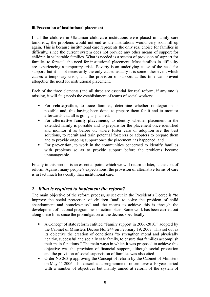#### **iii.Prevention of institutional placement**

If all the children in Ukrainian child-care institutions were placed in family care tomorrow, the problems would not end as the institutions would very soon fill up again. This is because institutional care represents the only real choice for families in difficulty, since the current system does not provide any other means of support for children in vulnerable families. What is needed is a system of provision of support for families to forestall the need for institutional placement. Most families in difficulty are experiencing a temporary crisis. Poverty is an underlying cause of the need for support, but it is not necessarily the only cause: usually it is some other event which causes a temporary crisis, and the provision of support at this time can prevent altogether the need for institutional placement.

Each of the three elements (and all three are essential for real reform; if any one is missing, it will fail) needs the establishment of teams of social workers:

- For **reintegration**, to trace families, determine whether reintegration is possible and, this having been done, to prepare them for it and to monitor afterwards that all is going as planned;
- For **alternative family placements**, to identify whether placement in the extended family is possible and to prepare for the placement once identified and monitor it as before or, where foster care or adoption are the best solutions, to recruit and train potential fosterers or adopters to prepare them and to provide ongoing support once the placement has happened; and
- For **prevention**, to work in the communities concerned to identify families with problems so as to provide support before the problems become unmanageable.

Finally in this section is an essential point, which we will return to later, is the cost of reform. Against many people's expectations, the provision of alternative forms of care is in fact much less costly than institutional care.

## *2 What is required to implement the reform?*

The main objective of the reform process, as set out in the President's Decree is "to improve the social protection of children [and] to solve the problem of child abandonment and homelessness" and the means to achieve this is through the development of national programmes or action plans. Some work has been carried out along these lines since the promulgation of the decree, specifically:

- A Concept of state reform entitled "Family support in 2006-2010," adopted by the Cabinet of Ministers Decree No. 244 on February 19, 2007. This set out as its objective the creation of conditions "to strengthen moral and physically healthy, successful and socially safe family, to ensure that families accomplish their main functions." The main ways in which it was proposed to achieve this objective was the provision of financial support, although social protection and the provision of social supervision of families was also cited.
- Order No 263-p approving the Concept of reform by the Cabinet of Ministers on May 11 2006. This described a programme of reform over a 10-year period with a number of objectives but mainly aimed at reform of the system of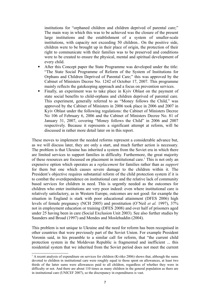institutions for "orphaned children and children deprived of parental care;" The main way in which this was to be achieved was the closure of the present large institutions and the establishment of a system of smaller-scale institutions, with capacity not exceeding 50 children.. On the positive side, children were to be brought up in their place of origin, the protection of their right to communicate with their families was to be preserved and conditions were to be created to ensure the physical, mental and spiritual development of every child.

- After this Concept paper the State Programme was developed under the title: "The State Social Programme of Reform of the System of Institutions for Orphans and Children Deprived of Parental Care;" this was approved by the Cabinet of Ministers Decree No. 1242 of October 17, 2007. This programme mainly reflects the gatekeeping approach and a focus on prevention services.
- Finally, an experiment was to take place in Kyiv Oblast on the payment of state social benefits to child-orphans and children deprived of parental care. This experiment, generally referred to as "Money follows the Child," was approved by the Cabinet of Ministers in 2006 took place in 2006 and 2007 in Kyiv Oblast under the following regulations: the Cabinet of Ministers Decree No 106 of February 6, 2006 and the Cabinet of Ministers Decree No. 81 of January 31, 2007, covering "Money follows the Child" in 2006 and 2007 respectively. Because it represents a significant attempt at reform, will be discussed in rather more detail later on in this report.

These moves to implement the needed reforms represent a considerable advance but, as we will discuss later, they are only a start, and much further action is necessary. The problem is that Ukraine has inherited a system from the Soviet era in which there are limited services to support families in difficulty. Furthermore, the great majority of these resources are focussed on placement in institutional care. [1](#page-6-0) This is not only an expensive option which operates as a *replacement* for families rather than as *support* for them but one which causes severe damage to the children within it. The President's objective requires substantial reform of the child protection system if it is to combat the overdependence on institutional care and the relative lack of community based services for children in need. This is urgently needed as the outcomes for children who enter institutions are very poor indeed: even where institutional care is relatively satisfactory, as in Western Europe, outcomes are not good: for example the situation in England is stark with poor educational attainment (DFES 2006) high levels of female pregnancy (NCH 2005) and prostitution (O'Neil *et al.* 1997), 37% not in employment education or training (DFES 2008) and over half of prisoners aged under 25 having been in care (Social Exclusion Unit 2003). See also further studies by Saunders and Broad (1997) and Mendes and Moslehuddin (2004).

This problem is not unique to Ukraine and the need for reform has been recognised in other countries that were previously part of the Soviet Union. For example President Voronin said, in his preamble to a similar call for reform, that "the current child protection system in the Moldovan Republic is fragmented and inefficient ... this residential system that we inherited from the Soviet period does not meet the current

<span id="page-6-0"></span> $1$  A recent analysis of expenditure on services for children (Kvitko 2006) shows that, although the sums devoted to children in institutional care were roughly equal to those spent on allowances, at least two thirds of the latter sums were allowances paid to all children, regardless of whether they were in difficulty or not. And there are about 110 times as many children in the general population as there are in institutional care (UNICEF 2007), so the discrepancy in expenditures is vast.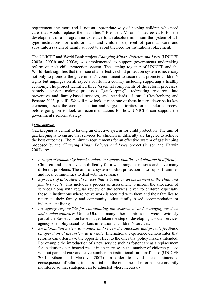requirement any more and is not an appropriate way of helping children who need care that would replace their families." President Voronin's decree calls for the development of a "programme to reduce to an absolute minimum the system of alltype institutions for child-orphans and children deprived of parental care and substitute a system of family support to avoid the need for institutional placement."

The UNICEF and World Bank project *Changing Minds, Policies and Lives* (UNICEF 2003a, 2003b and 2003c) was implemented to support governments undertaking reform of their child protection system. The coming together of UNICEF and the World Bank signifies that the issue of an effective child protection system is necessary not only to promote the government's commitment to secure and promote children's rights but impinges on all aspects of life in a country including supporting a healthy economy. The project identified three 'essential components of the reform processes, namely decision making processes ('gatekeeping'), redirecting resources into preventive and family-based services, and standards of care.' (Reichenberg and Posarac 2003, p. viii). We will now look at each one of these in turn, describe its key elements, assess the current situation and suggest priorities for the reform process before going on to look at recommendations for how UNICEF can support the government's reform strategy.

#### *i.Gatekeeping*

Gatekeeping is central to having an effective system for child protection. The aim of gatekeeping is to ensure that services for children in difficulty are targeted to achieve the best outcomes. The minimum requirements for an effective system of gatekeeping proposed by the *Changing Minds, Policies and Lives* project (Bilson and Harwin 2003) are:

- *A range of community based services to support families and children in difficulty*. Children find themselves in difficulty for a wide range of reasons and have many different problems. The aim of a system of chid protection is to support families and local communities to deal with these issues.
- *A process of allocation of services that is based on an assessment of the child and family's needs*. This includes a process of assessment to inform the allocation of services along with regular review of the services given to children especially those in institutions where active work is required with them and their families to return to their family and community, other family based accommodation or independent living.
- *An agency responsible for coordinating the assessment and managing services and service contracts*. Unlike Ukraine, many other countries that were previously part of the Soviet Union have not yet taken the step of developing a social services agency to employ social workers in relation to children's services.
- *An information system to monitor and review the outcomes and provide feedback on operation of the system as a whole*. International experience demonstrates that reforms can often have the opposite effect to the ones that policy makers intended. For example the introduction of a new service such as foster care as a replacement for institutions can instead result in an increase in the number of children placed without parental care and leave numbers in institutional care unaffected (UNICEF 2001, Bilson and Markova 2007). In order to avoid these unintended consequences of reform, it is essential that the outcomes of reforms are constantly monitored so that strategies can be adjusted where necessary.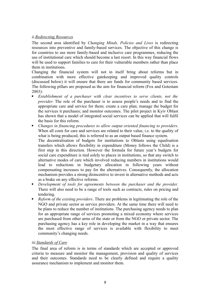#### *ii.Redirecting Resources*

The second area identified by *Changing Minds, Policies and Lives* is redirecting resources into preventive and family-based services. The objective of this change is for countries to use more family-based and inclusive care programmes, reducing the use of institutional care which should become a last resort. In this way financial flows will be used to support families to care for their vulnerable members rather than place them in institutions.

Changing the financial system will not in itself bring about reforms but in combination with more effective gatekeeping and improved quality controls (discussed below) it will ensure that there are funds for community based services. The following pillars are proposed as the aim for financial reform (Fox and Gotestam 2003):

- *Establishment of a purchaser with clear incentives to serve clients, not the provider*. The role of the purchaser is to assess people's needs and to find the appropriate care and service for them; create a care plan; manage the budget for the services it purchases; and monitor outcomes. The pilot project in Kyiv Oblast has shown that a model of integrated social services can be applied that will fulfil the basis for this reform.
- *Changes in financing procedures to allow output oriented financing to providers*. When all costs for care and services are related to their value, i.e. to the quality of what is being produced, this is referred to as an output based finance system.

The decentralisation of budgets for institutions to Oblasts using equalisation transfers which allows flexibility in expenditure (Money follows the Child) is a first step in this direction. However the formula for future year's budgets for social care expenditure is tied solely to places in institutions, so that any switch to alternative modes of care which involved reducing numbers in institutions would lead to reductions in budgetary allocation in following years without compensating increases to pay for the alternatives. Consequently, the allocation mechanism provides a strong disincentive to invest in alternative methods and acts as a brake on any effective reforms.

- *Development of tools for agreements between the purchaser and the provider.* There will also need to be a range of tools such as contracts, rules on pricing and tendering.
- *Reform of the existing providers*. There are problems in legitimating the role of the NGO and private sector as service providers. At the same time there will need to be plans to reduce the number of institutions. The purchasing agency needs to plan for an appropriate range of services promoting a mixed economy where services are purchased from other arms of the state or from the NGO or private sector. The purchasing agency has a key role in developing the market in a way that ensures the most effective range of services is available with flexibility to meet community's changing needs.

#### *iii.Standards of Care*

The final area of reform is in terms of standards which are accepted or approved criteria to measure and monitor the management, provision and quality of services and their outcomes. Standards need to be clearly defined and require a quality assurance mechanism to implement and monitor them.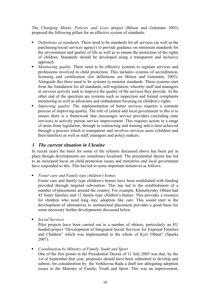The *Changing Minds, Policies and Lives* project (Bilson and Gotestam 2003) proposed the following pillars for an effective system of standards:

- *Definitions of standards*. There need to be standards for all services (as well as the purchasing/social services agency) to provide guidance on minimum standards for the environment and quality of life as well as to ensure the protection of the rights of children. Standards should be developed using a transparent and inclusive approach.
- *Monitoring quality*. There need to be effective systems to regulate services and professions involved in child protection. This includes systems of accreditation, licensing and certification (for definitions see Bilson and Gotestam, 2003). Alongside this there need to be systems to monitor standards. These systems start from the foundation for all standards, self-regulation, whereby staff and managers in services actively seek to improve the quality of the services they provide. At the other end of the spectrum are systems such as inspection and formal complaints monitoring as well as advocates and ombudsmen focusing on children's rights.
- *Improving quality*. The implementation of better services requires a constant process of improving quality. The role of central and local government in this is to ensure there is a framework that encourages service providers (including state services) to actively pursue service improvement. This requires action in a range of areas from legislation, through to contracting and training and is best achieved through a process which is transparent and involves services users (children and their families) as well as staff, managers and policy makers.

# *3 The current situation in Ukraine*

In recent years the basis for some of the reforms discussed above has been put in place though developments are sometimes localised. The presidential decree has led to an increased focus on child protection issues and ministries and local government have responded to this. This has led to some important initiatives as follows:

*Foster care and Family type children's homes*

Foster care and family type children's homes have been established with funding provided through targeted subvention. This has led to the establishment of a number of placements around the country. For example, Khmelnytsky Oblast had 45 foster families and 12 family-type children's homes. This provides a resource for children who need long stay, adoption like care. This sound start to the development of alternatives to institutional placement provides a good basis for some necessary further developments discussed below.

*Social Services*

Pilot projects have been carried out in a number of oblasts, particularly an EU funded project "Development of Integrated Social Services for Exposed Families and Children" which was implemented in the whole of Kyiv Oblast" (Sparks 2007).

*Coordination by Ministry of Family, Youth and Sport*

One of the first points in the Presidential Decree of 11 July 2005 was that, by the 1st of September that year, proposals should have been submitted to develop and submit, for consideration by the Verkhovna Rada a draft law delegating adoption issues to the Ministry of Family, Youth and Sport. This was an improvement,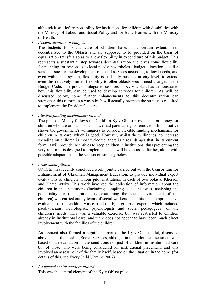although it still left responsibility for institutions for children with disabilities with the Ministry of Labour and Social Policy and for Baby Homes with the Ministry of Health.

*Decentralisation of budgets*

The budgets for social care of children have, to a certain extent, been decentralised to the Oblasts and are supposed to be provided on the basis of equalization transfers so as to allow flexibility in expenditure of this budget. This represents a substantial step towards decentralization and gives some flexibility for planning for responses to local needs; nevertheless, budget allocation is still a serious issue for the development of social services according to local needs, and even within this system, flexibility is still only possible at city level, to extend even this relatively limited flexibility to other oblasts would need changes in the Budget Code. The pilot of integrated services in Kyiv Oblast has demonstrated how this flexibility can be used to develop services for children. As will be discussed below, some further enhancements to this decentralization can strengthen this reform in a way which will actually promote the strategies required to implement the President's decree.

*Flexible funding mechanisms piloted*

The pilot of 'Money follows the Child' in Kyiv Oblast provides extra money for children who are orphans or who have had parental rights removed. This initiative shows the government's willingness to consider flexible funding mechanisms for children in its care, which is good. However, whilst the willingness to increase spending on children is most welcome, there is a real danger that, in its current form, it will provide incentives to keep children in institutions, thus preventing the very reform it is designed to implement. This will be discussed further, along with possible adaptations in the section on strategy below.

*Assessment piloted*

UNICEF has recently concluded work, jointly carried out with the Consortium for Enhancement of Ukrainian Management Education, to provide individual expert evaluations of children in four pilot institutions in each of two oblasts, Kherson and Khmelnytsky. This work involved the collection of information about the children in the institutions (including compiling social histories, analysing the potentiality for reintegration and examining the social environment of the children) was carried out by teams of social workers. In addition, a comprehensive evaluation of the children was carried out by a group of experts, which included paediatricians, neurologists, psychologists and social pedagogues) of the children's needs. This was a valuable exercise, but was restricted to children already in institutional care, and there does not appear to have been much direct involvement with the families of the children.

Assessment also formed a significant part of the Kyiv Oblast pilot, discussed above under the heading Social Services, although in that pilot the assessment was based on an evaluation of the conditions not just of children in institutional care but of those who were being considered for institutional placement, and this involved an assessment of the family itself, based on the situation in the home (for details of this, see EveryChild Ukraine 2007).

 *Integrated social services piloted* This was the central element of the Kyiv Oblast pilot.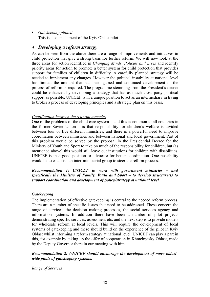#### *Gatekeeping piloted*

This is also an element of the Kyiv Oblast pilot.

## *4 Developing a reform strategy*

As can be seen from the above there are a range of improvements and initiatives in child protection that give a strong basis for further reform. We will now look at the three areas for action identified in *Changing Minds, Policies and Lives* and identify priority areas for action to promote a better system for child protection that provides support for families of children in difficulty. A carefully planned strategy will be needed to implement any changes. However the political instability at national level has limited the amount that has been gained and continued development of the process of reform is required. The programme stemming from the President's decree could be enhanced by developing a strategy that has as much cross party political support as possible. UNICEF is in a unique position to act as an intermediary in trying to broker a process of developing principles and a strategic plan on this basis.

#### *Coordination between the relevant agencies*

One of the problems of the child care system – and this is common to all countries in the former Soviet Union – is that responsibility for children's welfare is divided between four or five different ministries, and there is a powerful need to improve coordination between ministries and between national and local government. Part of this problem would be solved by the proposal in the Presidential Decree for the Ministry of Youth and Sport to take on much of the responsibility for children, but (as mentioned above) this would still leave out institutions for children with disabilities. UNICEF is in a good position to advocate for better coordination. One possibility would be to establish an inter-ministerial group to steer the reform process.

#### *Recommendation 1: UNICEF to work with government ministries – and specifically the Ministry of Family, Youth and Sport – to develop structure(s) to support coordination and development of policy/strategy at national level.*

#### *Gatekeeping*

The implementation of effective gatekeeping is central to the needed reform process. There are a number of specific issues that need to be addressed. These concern the range of services, the decision making processes, the social services agency and information systems. In addition there have been a number of pilot projects demonstrating specific services, assessment etc. and the next step is to provide models for wholesale reform at local levels. This will require the development of local systems of gatekeeping and these should build on the experience of the pilot in Kyiv Oblast whilst informing a reform strategy at national level. UNICEF can play a part in this, for example by taking up the offer of cooperation in Khmelnytsky Oblast, made by the Deputy Governor there in our meeting with him.

#### *Recommendation 2: UNICEF should encourage the development of more oblastwide pilots of gatekeeping systems.*

#### *Range of Services*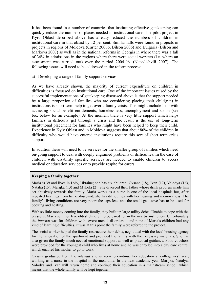It has been found in a number of countries that instituting effective gatekeeping can quickly reduce the number of places needed in institutional care. The pilot project in Kyiv Oblast described above has already reduced the numbers of children in institutional care in that oblast by 12 per cent. Similar falls were found in projects in projects in regions of Moldova (Carter 2006b, Bilson 2006) and Bulgaria (Bilson and Markova 2007) as well as in the national reforms in Georgia in where there was a fall of 34% in admissions in the regions where there were social workers (i.e. where an assessment was carried out) over the period 2004-06. (Natsvlishvili 2007). The following issues will need to be addressed in the reform process:

a) Developing a range of family support services

As we have already shown, the majority of current expenditure on children in difficulties is focussed on institutional care. One of the important issues raised by the successful implementations of gatekeeping discussed above is that the support needed by a large proportion of families who are considering placing their child(ren) in institutions is short-term help to get over a family crisis. This might include help with accessing social benefit entitlements, homelessness, unemployment and so on (see box below for an example). At the moment there is very little support which helps families in difficulty get through a crisis and the result is the use of long-term institutional placement for families who might have been helped to keep their child. Experience in Kyiv Oblast and in Moldova suggests that about 80% of the children in difficulty who would have entered institutions require this sort of short term crisis support.

In addition there will need to be services for the smaller group of families which need on-going support to deal with deeply engrained problems or difficulties. In the case of children with disability specific services are needed to enable children to access medical or education services or to provide respite for carers.

#### **Keeping a family together**

Maria is 39 and lives in Lviv, Ukraine; she has six children: Oksana (18), Ivan (17), Volodya (16), Natalia (15), Marijka (13) and Mykola (2). She divorced their father whose drink problem made him act abusively towards the family. Maria works as a nurse in one of the local hospitals but, after repeated beatings from her ex-husband, she has difficulties with her hearing and memory loss. The family's living conditions are very poor: the taps leak and the small gas stove has to be used for cooking and heating.

With so little money coming into the family, they built up large utility debts. Unable to cope with the pressure, Maria sent her five oldest children to be cared for in the nearby institution. Unfortunately the *internat* was for children with severe mental disorders – and none of Maria's children had any kind of learning difficulties. It was at this point the family were referred to the project.

The social worker helped the family restructure their debts, negotiated with the local housing agency for the renovation of the apartment and provided the family with the necessary materials. She has also given the family much needed emotional support as well as practical guidance. Food vouchers were provided for the youngest child who lives at home and he was enrolled into a day care centre, which enabled his mother to go to work.

Oksana graduated from the *internat* and is keen to continue her education at college nest year, working as a nurse in the hospital in the meantime. In the next academic year, Marijka, Natalya, Volodya and Ivan will return home and continue their education in a mainstream school, which means that the whole family will be kept together.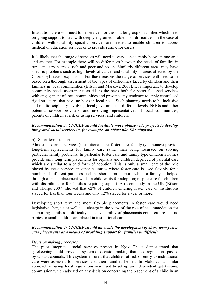In addition there will need to be services for the smaller group of families which need on-going support to deal with deeply engrained problems or difficulties. In the case of children with disability specific services are needed to enable children to access medical or education services or to provide respite for carers.

It is likely that the range of services will need to vary considerably between one area and another. For example there will be differences between the needs of families in rural and urban areas, rich and poor and so on. Similarly different areas may have specific problems such as high levels of cancer and disability in areas affected by the Chornobyl reactor explosions. For these reasons the range of services will need to be based on a thorough assessment of the types of difficulties faced by children and their families in local communities (Bilson and Markova 2007). It is important to develop community needs assessments as this is the basis both for better focussed services with engagement of local communities and prevents any tendency to apply centralised rigid structures that have no basis in local need. Such planning needs to be inclusive and multidisciplinary involving local government at different levels, NGOs and other potential service providers, and involving representatives of local communities, parents of children at risk or using services, and children.

#### *Recommendation 3: UNICEF should facilitate more oblast-wide projects to develop integrated social services in, for example, an oblast like Khmelnytska.*

#### b) Short-term support

Almost all current services (institutional care, foster care, family type homes) provide long-term replacements for family care rather than being focussed on solving particular family problems. In particular foster care and family type children's homes provide only long term placements for orphans and children deprived of parental care which are similar to a paid form of adoption. This is only a small part of the role played by these services in other countries where foster care is used flexibly for a number of different purposes such as short term support, whilst a family is helped through a crisis; placement whilst a child waits for adoption; respite care for children with disabilities or for families requiring support. A recent study in the UK (Bilson and Thorpe 2007) showed that 62% of children entering foster care or institutions stayed for less than four weeks and only 12% stayed for a year or more.

Developing short term and more flexible placements in foster care would need legislative changes as well as a change in the view of the role of accommodation for supporting families in difficulty. This availability of placements could ensure that no babies or small children are placed in institutional care.

#### *Recommendation 4: UNICEF should advocate the development of short-term foster care placements as a means of providing support for families in difficulty*

#### *Decision making processes*

The pilot integrated social services project in Kyiv Oblast demonstrated that gatekeeping could provide a system of decision making that used regulations passed by Oblast councils. This system ensured that children at risk of entry to institutional care were assessed for services and their families helped. In Moldova, a similar approach of using local regulations was used to set up an independent gatekeeping commission which advised on any decision concerning the placement of a child in an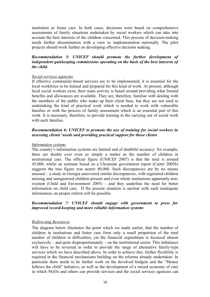institution or foster care. In both cases, decisions were based on comprehensive assessments of family situations undertaken by social workers which can take into account the best interests of the children concerned. This process of decision-making needs further dissemination with a view to implementation nationally. The pilot projects should work further on developing effective decision making.

#### *Recommendation 5: UNICEF should promote the further development of independent gatekeeping commissions operating on the basis of the best interests of the child.*

#### *Social services agencies*

If effective community-based services are to be implemented, it is essential for the local workforce to be trained and prepared for this kind of work. At present, although local social workers exist, their main activity is based around providing what limited benefits and allowances are available. They are, therefore, familiar with dealing with the members of the public who make up their client base, but they are not used to undertaking the kind of practical work which is needed to work with vulnerable families or with the process of family assessment which is an essential part of this work. It is necessary, therefore, to provide training in the carrying out of social work with such families.

#### *Recommendation 6: UNICEF to promote the use of training for social workers in assessing clients' needs and providing practical support for those clients*

#### *Information systems*

The country's information systems are limited and of doubtful accuracy: for example, there are doubts over even so simple a matter as the number of children in institutional care. The official figure (UNICEF 2007) is that the total is around 45,000, whilst an estimate based on a Ukrainian government report (Carter 2005b) suggests the true figure was nearer 80,000. Such discrepancies are by no means unusual – a study in Georgia uncovered similar discrepancies, with registered children missing and unregistered children present and even whole institutions apparently nonexistent (Child and Environment 2005) – and they underline the need for better information on child care. If the present situation is unclear with such inadequate information, no proper reform will be possible.

#### *Recommendation 7: UNICEF should engage with government to press for improved record-keeping and more reliable information systems*

#### *Redirecting Resources*

The diagram below illustrates the point which we made earlier, that the number of children in institutions and foster care form only a small proportion of the total number of children in difficulties, yet the financial expenditure is focussed almost exclusively – and quite disproportionately – on the institutional sector. This imbalance will have to be reversed in order to provide the range of alternative family-type services which we have described above. In order to achieve this, further flexibility is required in the financial mechanisms building on the reforms already undertaken. In particular there needs to be further work on the devolved budgets and the "Money follows the child" initiative, as well as the development of a mixed economy of care in which NGOs and others can provide services and the social services agencies can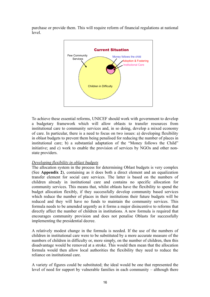purchase or provide them. This will require reform of financial regulations at national level.



To achieve these essential reforms, UNICEF should work with government to develop a budgetary framework which will allow oblasts to transfer resources from institutional care to community services and, in so doing, develop a mixed economy of care. In particular, there is a need to focus on two issues: a) developing flexibility in oblast budgets to prevent them being penalised for reducing the number of places in institutional care; b) a substantial adaptation of the "Money follows the Child" initiative; and c) work to enable the provision of services by NGOs and other nonstate providers.

#### *Developing flexibility in oblast budgets*

The allocation system in the process for determining Oblast budgets is very complex (See **Appendix 2**), containing as it does both a direct element and an equalization transfer element for social care services. The latter is based on the numbers of children already in institutional care and contains no specific allocation for community services. This means that, whilst oblasts have the flexibility to spend the budget allocation flexibly, if they successfully develop community based services which reduce the number of places in their institutions their future budgets will be reduced and they will have no funds to maintain the community services. This formula needs to be amended urgently as it forms a major disincentive to reforms that directly affect the number of children in institutions. A new formula is required that encourages community provision and does not penalise Oblasts for successfully implementing the presidential decree.

A relatively modest change in the formula is needed. If the use of the numbers of children in institutional care were to be substituted by a more accurate measure of the numbers of children in difficulty or, more simply, on the number of children, then this disadvantage would be removed at a stroke. This would then mean that the allocation formula would then allow local authorities the flexibility they need to reduce the reliance on institutional care.

A variety of figures could be substituted; the ideal would be one that represented the level of need for support by vulnerable families in each community – although there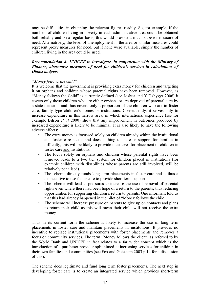may be difficulties in obtaining the relevant figures readily. So, for example, if the numbers of children living in poverty in each administrative area could be obtained both reliably and on a regular basis, this would provide a much superior measure of need. Alternatively, the level of unemployment in the area or similar measures could represent proxy measures for need, but if none were available, simply the number of children living in the area could be used.

#### *Recommendation 8: UNICEF to investigate, in conjunction with the Ministry of Finance, alternative measures of need for children's services in calculations of Oblast budgets.*

#### *"Money follows the child"*

It is welcome that the government is providing extra money for children and targeting it on orphans and children whose parental rights have been removed. However, as "Money follows the Child" is currently defined (see Joshua and Y Dzhygyr 2006) it covers only those children who are either orphans or are deprived of parental care by a state decision, and thus covers only a proportion of the children who are in foster care, family type children's homes or institutions. Consequently, it serves only to increase expenditure in this narrow area, in which international experience (see for example Bilson *et al* 2000) show that any improvement in outcomes produced by increased expenditure is likely to be minimal. It is also likely to have the following adverse effects:

- The extra money is focussed solely on children already within the institutional and foster care sector and does nothing to increase support for families in difficulty; this will be likely to provide incentives for placement of children in foster care and institutions.
- The focus solely on orphans and children whose parental rights have been removed leads to a two tier system for children placed in institutions (for example children with disabilities whose parents are still involved, will be relatively penalised).
- The scheme directly funds long term placements in foster care and is thus a disincentive to use foster care to provide short term support
- The scheme will lead to pressures to increase the use of removal of parental rights even where there had been hope of a return to the parents, thus reducing opportunities for supporting children's return to parents. One informant told us that this had already happened in the pilot of "Money follows the child."
- The scheme will increase pressure on parents to give up on contacts and plans to return their child as this will mean their child will not receive the extra money

Thus in its current form the scheme is likely to increase the use of long term placements in foster care and maintain placements in institutions. It provides no incentive to replace institutional placements with foster placements and removes a focus on community services. The term "Money follows the client" as referred to by the World Bank and UNICEF in fact relates to a far wider concept which is the introduction of a purchaser provider split aimed at increasing services for children in their own families and communities (see Fox and Gotestam 2003 p.14 for a discussion of this).

The scheme does legitimate and fund long term foster placements. The next step in developing foster care is to create an integrated service which provides short-term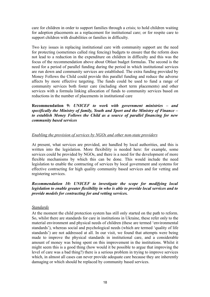care for children in order to support families through a crisis; to hold children waiting for adoption placements as a replacement for institutional care; or for respite care to support children with disabilities or families in difficulty.

Two key issues in replacing institutional care with community support are the need for protecting (sometimes called ring fencing) budgets to ensure that the reform does not lead to a reduction in the expenditure on children in difficulty and this was the focus of the recommendation above about Oblast budget formulas. The second is the need for a period of parallel funding during the period in which institutional services are run down and community services are established. The extra funding provided by Money Follows the Child could provide this parallel funding and reduce the adverse affects by more effective targeting. The funds could be used to fund a range of community services both foster care (including short term placements) and other services with a formula linking allocation of funds to community services based on reductions in the number of placements in institutional care

**Recommendation 9:** *UNICEF to work with government ministries – and specifically the Ministry of family, Youth and Sport and the Ministry of Finance – to establish Money Follows the Child as a source of parallel financing for new community based services*

#### *Enabling the provision of services by NGOs and other non-state providers*

At present, what services are provided, are handled by local authorities, and this is written into the legislation. More flexibility is needed here: for example, some services could be provided by NGOs, and there is a need for the development of more flexible mechanisms by which this can be done. This would include the need legislation to enable the contracting of services by local government and systems for effective contracting for high quality community based services and for vetting and registering services.

#### *Recommendation 10: UNICEF to investigate the scope for modifying local legislation to enable greater flexibility in who is able to provide local services and to provide models for contracting for and vetting services.*

#### *Standards*

At the moment the child protection system has still only started on the path to reform. So, whilst there are standards for care in institutions in Ukraine, these refer only to the material environment and physical needs of children (these are termed 'environmental standards'), whereas social and psychological needs (which are termed 'quality of life standards') are not addressed at all. In our visit, we found that attempts were being made to improve the physical standards in institutional care, and a considerable amount of money was being spent on this improvement in the institutions. Whilst it might seem this is a good thing (how would it be possible to argue that improving the level of care was a bad thing?) there is a serious problem in trying to improve services which, in almost all cases can never provide adequate care because they are inherently damaging or which should be replaced by community based services.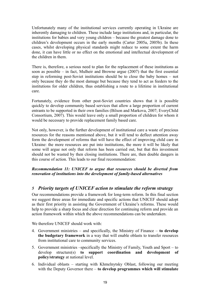Unfortunately many of the institutional services currently operating in Ukraine are inherently damaging to children. These include large institutions and, in particular, the institutions for babies and very young children – because the greatest damage done to children's development occurs in the early months (Carter 2005a, 2005b). In these cases, whilst developing physical standards might reduce to some extent the harm done, it can have little or no effect on the emotional and intellectual development of the children in them.

There is, therefore, a serious need to plan for the replacement of these institutions as soon as possible – in fact, Mulheir and Browne argue (2007) that the first essential step in reforming post-Soviet institutions should be to close the baby homes – not only because they do the most damage but because they tend to act as feeders to the institutions for older children, thus establishing a route to a lifetime in institutional care.

Fortunately, evidence from other post-Soviet countries shows that it is possible quickly to develop community based services that allow a large proportion of current entrants to be supported in their own families (Bilson and Markova, 2007; EveryChild Consortium, 2007). This would leave only a small proportion of children for whom it would be necessary to provide replacement family based care.

Not only, however, is the further development of institutional care a waste of precious resources for the reasons mentioned above, but it will tend to deflect attention away form the development of reforms that will have the effect of improving child care in Ukraine: the more resources are put into institutions, the more it will be likely that some will argue not only that reform has been carried out, but that this investment should not be wasted by then closing institutions. There are, then double dangers in this course of action. This leads to our final recommendation:

#### *Recommendation 11: UNICEF to argue that resources should be diverted from renovation of institutions into the development of family-based alternatives*

# *5 Priority targets of UNICEF action to stimulate the reform strategy*

Our recommendations provide a framework for long-term reform. In this final section we suggest three areas for immediate and specific actions that UNICEF should adopt as their first priority in assisting the Government of Ukraine's reforms. These would help to provide a sharp focus and clear direction for continuing reform and provide an action framework within which the above recommendations can be undertaken.

We therefore UNICEF should work with:

- 4. Government ministries and specifically, the Ministry of Finance **to develop the budgetary framework** in a way that will enable oblasts to transfer resources from institutional care to community services.
- 5. Government ministries –specifically the Ministry of Family, Youth and Sport to develop structure(s) **to support coordination and development of policy/strategy** at national level.
- 6. Individual oblasts starting with Khmelnytsky Oblast, following our meeting with the Deputy Governor there – **to develop programmes which will stimulate**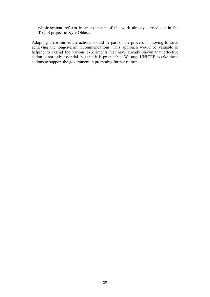**whole-system reform** in an extension of the work already carried out in the TACIS project in Kyiv Oblast.

Adopting these immediate actions should be part of the process of moving towards achieving the longer-term recommendations. This approach would be valuable in helping to extend the various experiments that have already shown that effective action is not only essential, but that it is practicable. We urge UNICEF to take these actions to support the government in promoting further reform.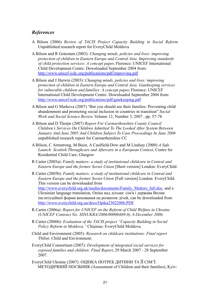# *References*

- A Bilson (2006) *Review of TACIS Project Capacity Building in Social Reform* Unpublished research report for EveryChild Moldova
- A Bilson and R Gotestam (2003): *Changing minds, policies and lives: improving protection of children in Eastern Europe and Central Asia. Improving standards of child protection services: A concept paper*, Florence: UNICEF International Child Development Centre. Downloaded September 2004 from: <http://www.unicef-icdc.org/publications/pdf/improving.pdf>
- A Bilson and J Harwin (2003): *Changing minds, policies and lives: improving protection of children in Eastern Europe and Central Asia. Gatekeeping services for vulnerable children and families: A concept paper*, Florence: UNICEF International Child Development Centre. Downloaded September 2004 from: <http://www.unicef-icdc.org/publications/pdf/gatekeeping.pdf>
- A Bilson and G Markova (2007) "But you should see their families: Preventing child abandonment and promoting social inclusion in countries in transition" *Social Work and Social Science Review* Volume 12, Number 3, 2007 , pp. 57-78
- A Bilson and D Thorpe (2007) *Report For Carmarthenshire County Council Children's Services On Children Admitted To The Looked After System Between January And June 2005 And Children Subject To Care Proceedings In June 2006* unpublished research report for Carmarthenshire CC
- A Bilson, C Armstrong, M Buist, A Caulfield-Dow and M Lindsay (2000) *A Safe Launch: Scottish Throughcare and Aftercare in a European Context*, Centre for Residential Child Care; Glasgow
- R Carter (2005a): *Family matters: a study of institutional childcare in Central and Eastern Europe and the former Soviet Union* [Short version] London: EveryChild.
- R Carter (2005b): *Family matters: a study of institutional childcare in Central and Eastern Europe and the former Soviet Union* [Full version] London: EveryChild. This version can be downloaded from [http://www.everychild.org.uk/media/documents/Family\\_Matters\\_full.doc,](http://www.everychild.org.uk/media/documents/Family_Matters_full.doc) and a Ukrainian language translation, Опіка над дітьми: сім'я і держава Вплив інституційної форми виховання на розвиток дітей, can be downloaded from <http://www.everychild.org.ua/docs/Opika23022006.PDF>
- R Carter (2006a): *Report for UNICEF on the Reform of Child Welfare in Ukraine (UNICEF Contract No: SSNUKRA/2006/00000469-0), 6 December 2006*.
- R Carter (2006b): *Evaluation of the TACIS project "Capacity Building in Social Policy Reform in Moldova,"* Chişinau: EveryChild Moldova.
- Child and Environment (2005): *Research on childcare institutions: Final report* Tbilisi: Child and Environment.
- EveryChild Consortium (2007): *Development of integrated social services for exposed families and children: Final Report*, 29 March 2007 - 28 September 2007.
- EveryChild Ukraine (2007): ОЦІНКА ПОТРЕБ ДИТИНИ ТА ЇЇ СІМ'Ї: МЕТОДИЧНИЙ ПОСІБНИК (Assessment of Children and their families), Kyiv: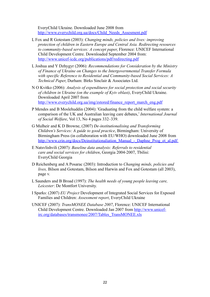EveryChild Ukraine. Downloaded June 2008 from [http://www.everychild.org.ua/docs/Child\\_Needs\\_Assesment.pdf](http://www.everychild.org.ua/docs/Child_Needs_Assesment.pdf)

- L Fox and R Gotestam (2003): *Changing minds, policies and lives: improving protection of children in Eastern Europe and Central Asia. Redirecting resources to community-based services: A concept paper*, Florence: UNICEF International Child Development Centre. Downloaded September 2004 from: <http://www.unicef-icdc.org/publications/pdf/redirecting.pdf>
- L Joshua and Y Dzhygyr (2006): *Recommendations for Consideration by the Ministry of Finance of Ukraine on Changes to the Intergovernmental Transfer Formula with specific Reference to Residential and Community-based Social Services: A Technical Paper*, Durham: Birks Sinclair & Associates Ltd.
- N O Kvitko (2006): *Analysis of expenditures for social protection and social security of children in Ukraine (on the example of Kyiv oblast)*, EveryChild Ukraine. Downloaded April 2007 from [http://www.everychild.org.ua/img/zstored/finance\\_report\\_march\\_eng.pdf](http://www.everychild.org.ua/img/zstored/finance_report_march_eng.pdf)
- P Mendes and B Moslehuddin (2004): 'Graduating from the child welfare system: a comparison of the UK and Australian leaving care debates,' *International Journal of Social Welfare*, Vol 13, No 4 pages 332–339.
- G Mulheir and K D Browne, (2007) *De-institutionalising and Transforming Children's Services: A guide to good practice*, Birmingham: University of Birmingham Press (in collaboration with EU/WHO) downloaded June 2008 from http://www.crin.org/docs/Deinstitutionaliation Manual - Daphne Prog\_et\_al.pdf
- E Natsvlishvili (2007): *Baseline data analysis: Referrals to residential care and social services for children*, Georgia 2004-2007, Tbilisi: EveryChild Georgia
- D Reichenberg and A Posarac (2003): Introduction to *Changing minds, policies and lives,* Bilson and Gotestam, Bilson and Harwin and Fox and Gotestam (all 2003), page v.
- L Saunders and B Broad (1997): *The health needs of young people leaving care, Leicester*: De Montfort University.
- I Sparks: (2007) *EU Project* Development of Integrated Social Services for Exposed Families and Children: *Assessment report*, EveryChild Ukraine
- UNICEF (2007): *TransMONEE Database 2007*, Florence: UNICEF International Child Development Centre. Downloaded Jan 2007 from [http://www.unicef](http://www.unicef-irc.org/databases/transmonee/2007/Tables_TransMONEE.xls)[irc.org/databases/transmonee/2007/Tables\\_TransMONEE.xls](http://www.unicef-irc.org/databases/transmonee/2007/Tables_TransMONEE.xls)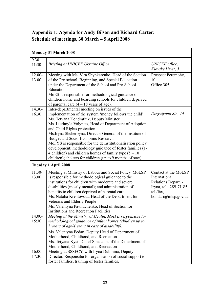# **Appendix 1: Agenda for Andy Bilson and Richard Carter: Schedule of meetings, 30 March – 5 April 2008**

| <b>Monday 31 March 2008</b> |                                                                                                                                                                                                                                                                                                                                                                                                                                                                                                                                                                                                 |                                                                                                                             |
|-----------------------------|-------------------------------------------------------------------------------------------------------------------------------------------------------------------------------------------------------------------------------------------------------------------------------------------------------------------------------------------------------------------------------------------------------------------------------------------------------------------------------------------------------------------------------------------------------------------------------------------------|-----------------------------------------------------------------------------------------------------------------------------|
| $9.30 -$<br>11:30           | Briefing at UNICEF Ukraine Office                                                                                                                                                                                                                                                                                                                                                                                                                                                                                                                                                               | <b>UNICEF</b> office,<br>Klovsky Uzviz, 5                                                                                   |
| $12.00 -$<br>13.00          | Meeting with Ms. Vira Shynkarenko, Head of the Section<br>of the Pre-school, Beginning, and Special Education<br>under the Department of the School and Pre-School<br>Education.<br>MoES is responsible for methodological guidance of<br>children home and boarding schools for children deprived<br>of parental care $(4 - 18$ years of age).                                                                                                                                                                                                                                                 | Prospect Peremohy,<br>10<br>Office 305                                                                                      |
| $14.30 -$<br>16.30          | Inter-departmental meeting on issues of the<br>implementation of the system 'money follows the child'<br>Ms. Tetyana Kondratiuk, Deputy Minister<br>Ms. Liudmyla Volynets, Head of Department of Adoption<br>and Child Rights protection<br>Ms. Iryna Shcherbyna, Director General of the Institute of<br>Budget and Socio-Economic Research<br>MoFYS is responsible for the deinstitutionalisation policy<br>development; methodology guidance of foster families (1-<br>4 children) and children homes of family type $(5 - 10)$<br>children); shelters for children (up to 9 months of stay) | Desyatynna Str., 14                                                                                                         |
|                             | <b>Tuesday 1 April 2008</b>                                                                                                                                                                                                                                                                                                                                                                                                                                                                                                                                                                     |                                                                                                                             |
| $11.30-$<br>13.00           | Meeting at Ministry of Labour and Social Policy. MoLSP<br>is responsible for methodological guidance to the<br>institutions for children with moderate and severe<br>disabilities (mostly mental); and administration of<br>benefits to children deprived of parental care<br>Ms. Natalia Krentovska, Head of the Department for<br>Veterans and Elderly People<br>Ms. Valentyna Pavliuchenko, Head of Section for<br><b>Institutions and Recreation Facilities</b>                                                                                                                             | Contact at the MoLSP<br>International<br>Relations Depart. -<br>Iryna, tel.: 289-71-85,<br>tel./fax,<br>bondari@mlsp.gov.ua |
| 14.00-<br>15:30             | Meeting at the Ministry of Health. MoH is responsible for<br>methodological guidance of infant homes (children up to<br>3 years of age/4 years in case of disability).<br>Ms. Valentyna Pedan, Deputy Head of Department of<br>Motherhood, Childhood, and Recreation<br>Ms. Tetyana Kysil, Chief Specialist of the Department of<br>Motherhood, Childhood, and Recreation                                                                                                                                                                                                                       |                                                                                                                             |
| $16:00 -$<br>17:30          | Meeting at SSSFCY, with Iryna Dubinina, Deputy<br>Director. Responsibe for organisation of social support to<br>foster families, training of foster families.                                                                                                                                                                                                                                                                                                                                                                                                                                   |                                                                                                                             |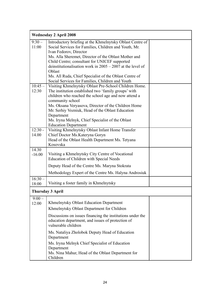| <b>Wednesday 2 April 2008</b> |                                                                                                                                                                                                                                                                                                                                                                                                                                               |  |
|-------------------------------|-----------------------------------------------------------------------------------------------------------------------------------------------------------------------------------------------------------------------------------------------------------------------------------------------------------------------------------------------------------------------------------------------------------------------------------------------|--|
| $9:30-$<br>11:00              | Introductory briefing at the Khmelnytsky Oblast Centre of<br>Social Services for Families, Children and Youth, Mr.<br>Ivan Fedorov, Director<br>Ms. Alla Sheremet, Director of the Oblast Mother and<br>Child Centre; consultant for UNICEF supported<br>deinstitutionalisation work in $2005 - 2007$ at the level of<br>Oblast<br>Ms. All Ruda, Chief Specialist of the Oblast Centre of<br>Social Services for Families, Children and Youth |  |
| $10:45-$<br>12:30             | Visiting Khmelnytsky Oblast Pre-School Children Home.<br>The institution established two 'family groups' with<br>children who reached the school age and now attend a<br>community school<br>Ms. Oksana Veryasova, Director of the Children Home<br>Mr. Serhiy Vozniuk, Head of the Oblast Education<br>Department<br>Ms. Iryna Melnyk, Chief Specialist of the Oblast<br><b>Education Department</b>                                         |  |
| $\overline{12:}30 -$<br>14.00 | Visiting Khmelnytsky Oblast Infant Home Transfer<br>Chief Doctor Ms. Kateryna Goryn<br>Head of the Oblast Health Department Ms. Tetyana<br>Kosovska                                                                                                                                                                                                                                                                                           |  |
| 14.30<br>$-16.00$             | Visiting a Khmelnytsky City Centre of Vocational<br>Education of Children with Special Needs<br>Deputy Head of the Centre Ms. Maryna Stokrata<br>Methodology Expert of the Centre Ms. Halyna Androsiuk                                                                                                                                                                                                                                        |  |
| $16:30-$<br>18:00             | Visiting a foster family in Khmelnytsky                                                                                                                                                                                                                                                                                                                                                                                                       |  |
|                               | <b>Thursday 3 April</b>                                                                                                                                                                                                                                                                                                                                                                                                                       |  |
| $9:00-$<br>12:00              | Khmelnytsky Oblast Education Department<br>Khmelnytsky Oblast Department for Children<br>Discussions on issues financing the institutions under the<br>education department, and issues of protection of<br>vulnerable children<br>Ms. Nataliya Zholobok Deputy Head of Education<br>Department                                                                                                                                               |  |
|                               | Ms. Iryna Melnyk Chief Specialist of Education<br>Department<br>Ms. Nina Mahur, Head of the Oblast Department for<br>Children                                                                                                                                                                                                                                                                                                                 |  |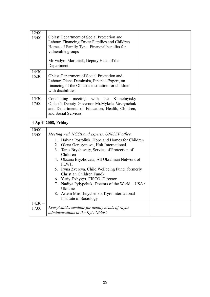| $12:00 -$<br>13:00   | <b>Oblast Department of Social Protection and</b><br>Labour, Financing Foster Families and Children<br>Homes of Family Type; Financial benefits for<br>vulnerable groups<br>Mr. Vadym Maruniak, Deputy Head of the<br>Department                                                                                                                                                                                                                                                                                                                 |  |
|----------------------|--------------------------------------------------------------------------------------------------------------------------------------------------------------------------------------------------------------------------------------------------------------------------------------------------------------------------------------------------------------------------------------------------------------------------------------------------------------------------------------------------------------------------------------------------|--|
| $14:30-$<br>15:30    | Oblast Department of Social Protection and<br>Labour, Olena Deminska, Finance Expert, on<br>financing of the Oblast's institution for children<br>with disabilities                                                                                                                                                                                                                                                                                                                                                                              |  |
| $15:30 -$<br>17:00   | meeting<br>Concluding<br>with the<br>Khmelnytsky<br>Oblast's Deputy Governor Mr.Mykola Vavrynchuk<br>and Departments of Education, Health, Children,<br>and Social Services.                                                                                                                                                                                                                                                                                                                                                                     |  |
| 4 April 2008, Friday |                                                                                                                                                                                                                                                                                                                                                                                                                                                                                                                                                  |  |
| $10:00 -$<br>13:00   | Meeting with NGOs and experts, UNICEF office<br>1. Halyna Postoliuk, Hope and Homes for Children<br>2. Olena Gerasymova, Holt International<br>3. Taras Bryzhovaty, Service of Protection of<br>Children<br>4. Oksana Bryzhovata, All Ukrainian Network of<br><b>PLWH</b><br>5. Iryna Zvereva, Child Wellbeing Fund (formerly<br>Christian Children Fund)<br>Yuriy Dzhygyr, FISCO, Director<br>6.<br>7.<br>Nadiya Pylypchuk, Doctors of the World – USA /<br>Ukraine<br>Artem Miroshnychenko, Kyiv International<br>8.<br>Institute of Sociology |  |
| $14:30-$<br>17:00    | EveryChild's seminar for deputy heads of rayon<br>administrations in the Kyiv Oblast                                                                                                                                                                                                                                                                                                                                                                                                                                                             |  |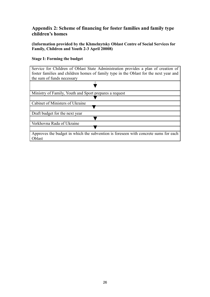# **Appendix 2: Scheme of financing for foster families and family type children's homes**

**(Information provided by the Khmelnytsky Oblast Centre of Social Services for Family, Children and Youth 2-3 April 20008)**

#### **Stage І: Forming the budget**

Service for Children of Oblast State Administration provides a plan of creation of foster families and children homes of family type in the Oblast for the next year and the sum of funds necessary

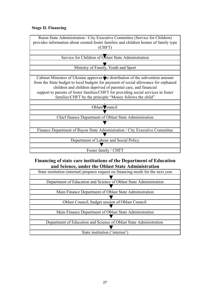#### **Stage II. Financing**

| Raion State Administration / City Executive Committee (Service for Children)<br>provides information about created foster families and children homes of family type |  |
|----------------------------------------------------------------------------------------------------------------------------------------------------------------------|--|
| (CHFT)                                                                                                                                                               |  |
|                                                                                                                                                                      |  |
| Service for Children of Oblast State Administration                                                                                                                  |  |
|                                                                                                                                                                      |  |
| Ministry of Family, Youth and Sport                                                                                                                                  |  |
|                                                                                                                                                                      |  |
| Cabinet Ministers of Ukraine approves the distribution of the subvention amount                                                                                      |  |
| from the State budget to local budgets for payment of social allowance for orphaned                                                                                  |  |
| children and children deprived of parental care, and financial                                                                                                       |  |
| support to parents of foster families/CHFT for providing social services in foster                                                                                   |  |
| families/CHFT by the principle "Money follows the child"                                                                                                             |  |
|                                                                                                                                                                      |  |
| Oblast Council                                                                                                                                                       |  |
|                                                                                                                                                                      |  |
| Chief finance Department of Oblast State Administration                                                                                                              |  |
|                                                                                                                                                                      |  |
| Finance Department of Rayon State Administration / City Executive Committee                                                                                          |  |
|                                                                                                                                                                      |  |
| Department of Labour and Social Policy                                                                                                                               |  |
|                                                                                                                                                                      |  |
| Foster family / CHFT                                                                                                                                                 |  |

# **Financing of state care institutions of the Department of Education and Science, under the Oblast State Administration**